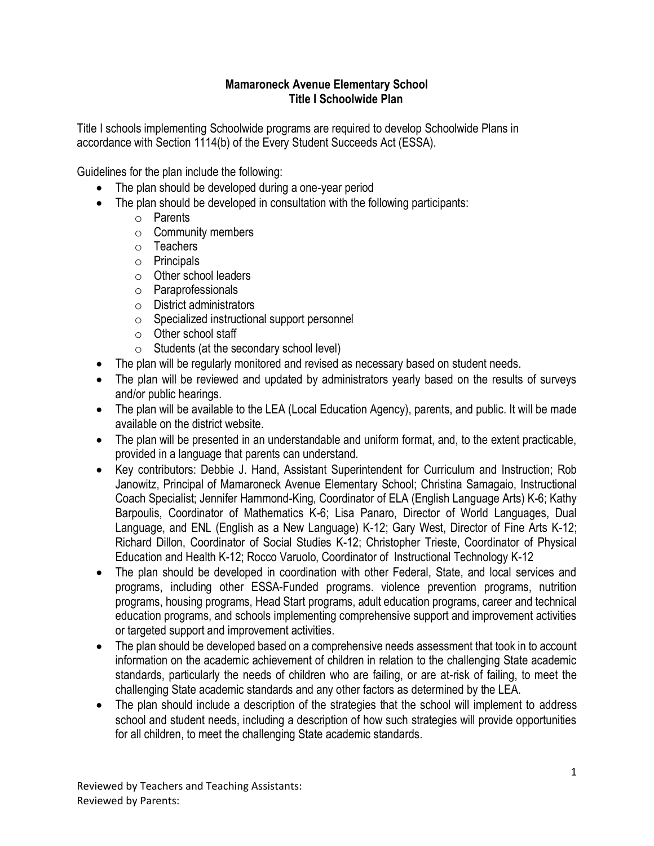## **Mamaroneck Avenue Elementary School Title I Schoolwide Plan**

Title I schools implementing Schoolwide programs are required to develop Schoolwide Plans in accordance with Section 1114(b) of the Every Student Succeeds Act (ESSA).

Guidelines for the plan include the following:

- The plan should be developed during a one-year period
- The plan should be developed in consultation with the following participants:
	- o Parents
	- o Community members
	- o Teachers
	- o Principals
	- o Other school leaders
	- o Paraprofessionals
	- o District administrators
	- o Specialized instructional support personnel
	- o Other school staff
	- $\circ$  Students (at the secondary school level)
- The plan will be regularly monitored and revised as necessary based on student needs.
- The plan will be reviewed and updated by administrators yearly based on the results of surveys and/or public hearings.
- The plan will be available to the LEA (Local Education Agency), parents, and public. It will be made available on the district website.
- The plan will be presented in an understandable and uniform format, and, to the extent practicable, provided in a language that parents can understand.
- Key contributors: Debbie J. Hand, Assistant Superintendent for Curriculum and Instruction; Rob Janowitz, Principal of Mamaroneck Avenue Elementary School; Christina Samagaio, Instructional Coach Specialist; Jennifer Hammond-King, Coordinator of ELA (English Language Arts) K-6; Kathy Barpoulis, Coordinator of Mathematics K-6; Lisa Panaro, Director of World Languages, Dual Language, and ENL (English as a New Language) K-12; Gary West, Director of Fine Arts K-12; Richard Dillon, Coordinator of Social Studies K-12; Christopher Trieste, Coordinator of Physical Education and Health K-12; Rocco Varuolo, Coordinator of Instructional Technology K-12
- The plan should be developed in coordination with other Federal, State, and local services and programs, including other ESSA-Funded programs. violence prevention programs, nutrition programs, housing programs, Head Start programs, adult education programs, career and technical education programs, and schools implementing comprehensive support and improvement activities or targeted support and improvement activities.
- The plan should be developed based on a comprehensive needs assessment that took in to account information on the academic achievement of children in relation to the challenging State academic standards, particularly the needs of children who are failing, or are at-risk of failing, to meet the challenging State academic standards and any other factors as determined by the LEA.
- The plan should include a description of the strategies that the school will implement to address school and student needs, including a description of how such strategies will provide opportunities for all children, to meet the challenging State academic standards.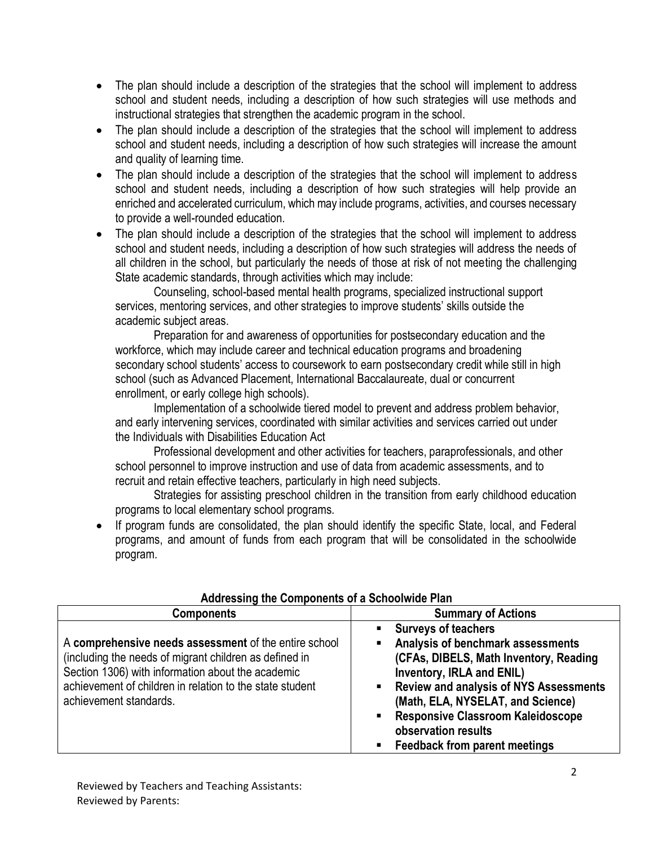- The plan should include a description of the strategies that the school will implement to address school and student needs, including a description of how such strategies will use methods and instructional strategies that strengthen the academic program in the school.
- The plan should include a description of the strategies that the school will implement to address school and student needs, including a description of how such strategies will increase the amount and quality of learning time.
- The plan should include a description of the strategies that the school will implement to address school and student needs, including a description of how such strategies will help provide an enriched and accelerated curriculum, which may include programs, activities, and courses necessary to provide a well-rounded education.
- The plan should include a description of the strategies that the school will implement to address school and student needs, including a description of how such strategies will address the needs of all children in the school, but particularly the needs of those at risk of not meeting the challenging State academic standards, through activities which may include:

Counseling, school-based mental health programs, specialized instructional support services, mentoring services, and other strategies to improve students' skills outside the academic subject areas.

Preparation for and awareness of opportunities for postsecondary education and the workforce, which may include career and technical education programs and broadening secondary school students' access to coursework to earn postsecondary credit while still in high school (such as Advanced Placement, International Baccalaureate, dual or concurrent enrollment, or early college high schools).

Implementation of a schoolwide tiered model to prevent and address problem behavior, and early intervening services, coordinated with similar activities and services carried out under the Individuals with Disabilities Education Act

Professional development and other activities for teachers, paraprofessionals, and other school personnel to improve instruction and use of data from academic assessments, and to recruit and retain effective teachers, particularly in high need subjects.

Strategies for assisting preschool children in the transition from early childhood education programs to local elementary school programs.

If program funds are consolidated, the plan should identify the specific State, local, and Federal programs, and amount of funds from each program that will be consolidated in the schoolwide program.

| <b>Components</b>                                                                                                                                                                                                                                          | <b>Summary of Actions</b>                                                                                                                                                                                                                                                                                                                    |
|------------------------------------------------------------------------------------------------------------------------------------------------------------------------------------------------------------------------------------------------------------|----------------------------------------------------------------------------------------------------------------------------------------------------------------------------------------------------------------------------------------------------------------------------------------------------------------------------------------------|
| A comprehensive needs assessment of the entire school<br>(including the needs of migrant children as defined in<br>Section 1306) with information about the academic<br>achievement of children in relation to the state student<br>achievement standards. | <b>Surveys of teachers</b><br>Analysis of benchmark assessments<br>(CFAs, DIBELS, Math Inventory, Reading<br>Inventory, IRLA and ENIL)<br><b>Review and analysis of NYS Assessments</b><br>(Math, ELA, NYSELAT, and Science)<br><b>Responsive Classroom Kaleidoscope</b><br>п<br>observation results<br><b>Feedback from parent meetings</b> |

## **Addressing the Components of a Schoolwide Plan**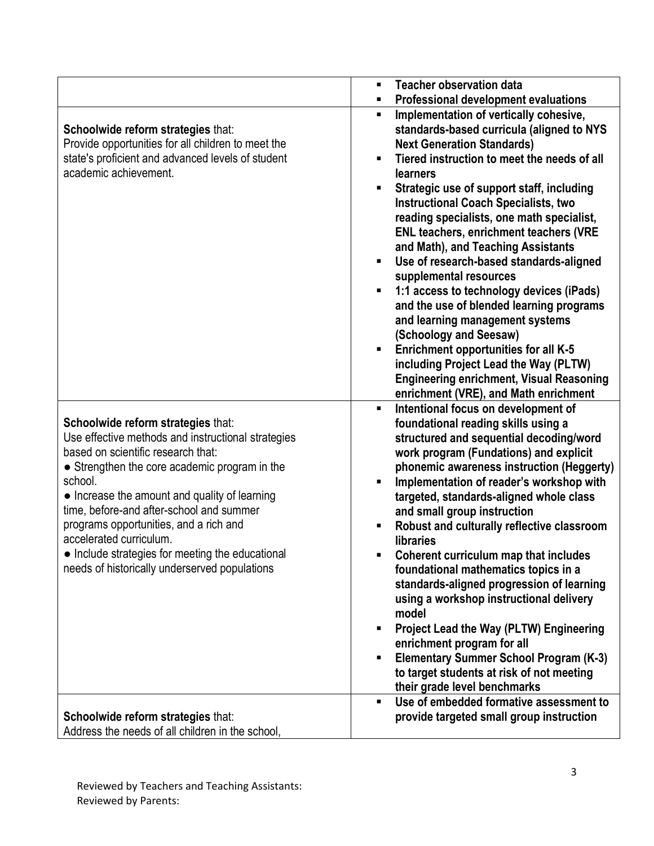|                                                                                                                                                                                                                                                                                                                                                                                                                                                                   | <b>Teacher observation data</b><br>$\blacksquare$                                                                                                                                                                                                                                                                                                                                                                                                                                                                                                                                                                                                                                                                                                                                                                                                                    |
|-------------------------------------------------------------------------------------------------------------------------------------------------------------------------------------------------------------------------------------------------------------------------------------------------------------------------------------------------------------------------------------------------------------------------------------------------------------------|----------------------------------------------------------------------------------------------------------------------------------------------------------------------------------------------------------------------------------------------------------------------------------------------------------------------------------------------------------------------------------------------------------------------------------------------------------------------------------------------------------------------------------------------------------------------------------------------------------------------------------------------------------------------------------------------------------------------------------------------------------------------------------------------------------------------------------------------------------------------|
|                                                                                                                                                                                                                                                                                                                                                                                                                                                                   | Professional development evaluations<br>٠                                                                                                                                                                                                                                                                                                                                                                                                                                                                                                                                                                                                                                                                                                                                                                                                                            |
| Schoolwide reform strategies that:<br>Provide opportunities for all children to meet the<br>state's proficient and advanced levels of student<br>academic achievement.                                                                                                                                                                                                                                                                                            | Implementation of vertically cohesive,<br>٠<br>standards-based curricula (aligned to NYS<br><b>Next Generation Standards)</b><br>Tiered instruction to meet the needs of all<br><b>learners</b><br>Strategic use of support staff, including<br><b>Instructional Coach Specialists, two</b><br>reading specialists, one math specialist,<br><b>ENL teachers, enrichment teachers (VRE</b><br>and Math), and Teaching Assistants<br>Use of research-based standards-aligned<br>supplemental resources<br>1:1 access to technology devices (iPads)<br>and the use of blended learning programs<br>and learning management systems<br>(Schoology and Seesaw)<br><b>Enrichment opportunities for all K-5</b><br>including Project Lead the Way (PLTW)<br><b>Engineering enrichment, Visual Reasoning</b>                                                                 |
| Schoolwide reform strategies that:<br>Use effective methods and instructional strategies<br>based on scientific research that:<br>• Strengthen the core academic program in the<br>school.<br>• Increase the amount and quality of learning<br>time, before-and after-school and summer<br>programs opportunities, and a rich and<br>accelerated curriculum.<br>• Include strategies for meeting the educational<br>needs of historically underserved populations | enrichment (VRE), and Math enrichment<br>$\blacksquare$<br>Intentional focus on development of<br>foundational reading skills using a<br>structured and sequential decoding/word<br>work program (Fundations) and explicit<br>phonemic awareness instruction (Heggerty)<br>Implementation of reader's workshop with<br>targeted, standards-aligned whole class<br>and small group instruction<br>Robust and culturally reflective classroom<br><b>libraries</b><br>Coherent curriculum map that includes<br>foundational mathematics topics in a<br>standards-aligned progression of learning<br>using a workshop instructional delivery<br>model<br><b>Project Lead the Way (PLTW) Engineering</b><br>enrichment program for all<br><b>Elementary Summer School Program (K-3)</b><br>٠<br>to target students at risk of not meeting<br>their grade level benchmarks |
| Schoolwide reform strategies that:<br>Address the needs of all children in the school,                                                                                                                                                                                                                                                                                                                                                                            | Use of embedded formative assessment to<br>$\blacksquare$<br>provide targeted small group instruction                                                                                                                                                                                                                                                                                                                                                                                                                                                                                                                                                                                                                                                                                                                                                                |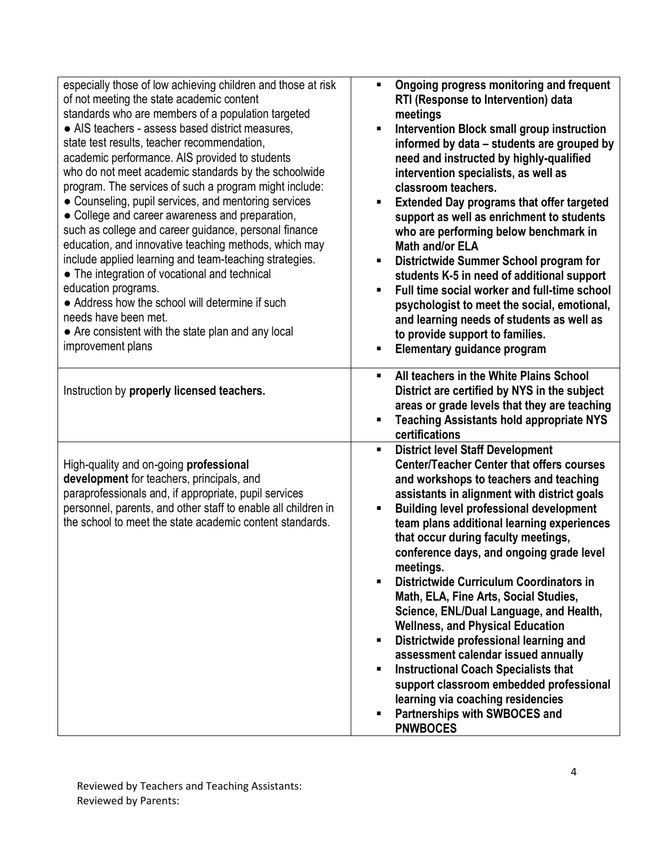| especially those of low achieving children and those at risk<br>of not meeting the state academic content<br>standards who are members of a population targeted<br>• AIS teachers - assess based district measures,<br>state test results, teacher recommendation,<br>academic performance. AIS provided to students<br>who do not meet academic standards by the schoolwide<br>program. The services of such a program might include:<br>• Counseling, pupil services, and mentoring services<br>• College and career awareness and preparation,<br>such as college and career guidance, personal finance<br>education, and innovative teaching methods, which may<br>include applied learning and team-teaching strategies.<br>• The integration of vocational and technical<br>education programs.<br>• Address how the school will determine if such<br>needs have been met.<br>• Are consistent with the state plan and any local<br>improvement plans | Ongoing progress monitoring and frequent<br>RTI (Response to Intervention) data<br>meetings<br>Intervention Block small group instruction<br>informed by data – students are grouped by<br>need and instructed by highly-qualified<br>intervention specialists, as well as<br>classroom teachers.<br><b>Extended Day programs that offer targeted</b><br>п<br>support as well as enrichment to students<br>who are performing below benchmark in<br><b>Math and/or ELA</b><br>Districtwide Summer School program for<br>students K-5 in need of additional support<br>Full time social worker and full-time school<br>psychologist to meet the social, emotional,<br>and learning needs of students as well as<br>to provide support to families.<br>Elementary guidance program                                                                                              |
|-------------------------------------------------------------------------------------------------------------------------------------------------------------------------------------------------------------------------------------------------------------------------------------------------------------------------------------------------------------------------------------------------------------------------------------------------------------------------------------------------------------------------------------------------------------------------------------------------------------------------------------------------------------------------------------------------------------------------------------------------------------------------------------------------------------------------------------------------------------------------------------------------------------------------------------------------------------|-------------------------------------------------------------------------------------------------------------------------------------------------------------------------------------------------------------------------------------------------------------------------------------------------------------------------------------------------------------------------------------------------------------------------------------------------------------------------------------------------------------------------------------------------------------------------------------------------------------------------------------------------------------------------------------------------------------------------------------------------------------------------------------------------------------------------------------------------------------------------------|
| Instruction by properly licensed teachers.                                                                                                                                                                                                                                                                                                                                                                                                                                                                                                                                                                                                                                                                                                                                                                                                                                                                                                                  | All teachers in the White Plains School<br>ш<br>District are certified by NYS in the subject<br>areas or grade levels that they are teaching<br><b>Teaching Assistants hold appropriate NYS</b><br>п<br>certifications                                                                                                                                                                                                                                                                                                                                                                                                                                                                                                                                                                                                                                                        |
| High-quality and on-going professional<br>development for teachers, principals, and<br>paraprofessionals and, if appropriate, pupil services<br>personnel, parents, and other staff to enable all children in<br>the school to meet the state academic content standards.                                                                                                                                                                                                                                                                                                                                                                                                                                                                                                                                                                                                                                                                                   | <b>District level Staff Development</b><br>ш<br><b>Center/Teacher Center that offers courses</b><br>and workshops to teachers and teaching<br>assistants in alignment with district goals<br><b>Building level professional development</b><br>Ξ<br>team plans additional learning experiences<br>that occur during faculty meetings,<br>conference days, and ongoing grade level<br>meetings.<br>Districtwide Curriculum Coordinators in<br>$\blacksquare$<br>Math, ELA, Fine Arts, Social Studies,<br>Science, ENL/Dual Language, and Health,<br><b>Wellness, and Physical Education</b><br>Districtwide professional learning and<br>п<br>assessment calendar issued annually<br><b>Instructional Coach Specialists that</b><br>п<br>support classroom embedded professional<br>learning via coaching residencies<br>Partnerships with SWBOCES and<br>п<br><b>PNWBOCES</b> |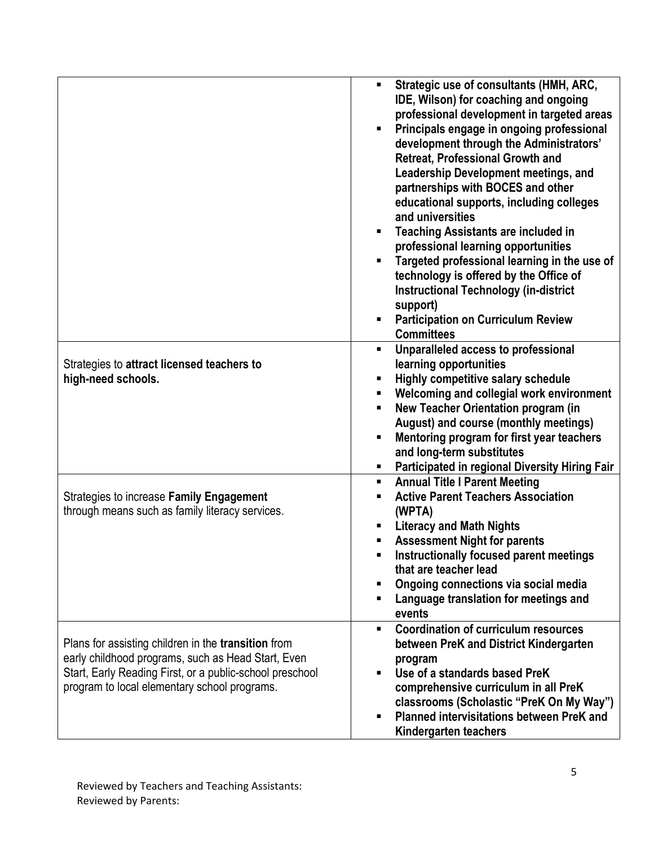|                                                            | Strategic use of consultants (HMH, ARC,<br>٠<br>IDE, Wilson) for coaching and ongoing<br>professional development in targeted areas<br>Principals engage in ongoing professional<br>development through the Administrators'<br><b>Retreat, Professional Growth and</b><br><b>Leadership Development meetings, and</b><br>partnerships with BOCES and other<br>educational supports, including colleges<br>and universities<br><b>Teaching Assistants are included in</b><br>professional learning opportunities<br>Targeted professional learning in the use of<br>technology is offered by the Office of<br><b>Instructional Technology (in-district</b><br>support)<br><b>Participation on Curriculum Review</b><br><b>Committees</b> |
|------------------------------------------------------------|-----------------------------------------------------------------------------------------------------------------------------------------------------------------------------------------------------------------------------------------------------------------------------------------------------------------------------------------------------------------------------------------------------------------------------------------------------------------------------------------------------------------------------------------------------------------------------------------------------------------------------------------------------------------------------------------------------------------------------------------|
|                                                            | Unparalleled access to professional<br>٠                                                                                                                                                                                                                                                                                                                                                                                                                                                                                                                                                                                                                                                                                                |
| Strategies to attract licensed teachers to                 | learning opportunities                                                                                                                                                                                                                                                                                                                                                                                                                                                                                                                                                                                                                                                                                                                  |
| high-need schools.                                         | Highly competitive salary schedule                                                                                                                                                                                                                                                                                                                                                                                                                                                                                                                                                                                                                                                                                                      |
|                                                            | Welcoming and collegial work environment                                                                                                                                                                                                                                                                                                                                                                                                                                                                                                                                                                                                                                                                                                |
|                                                            | New Teacher Orientation program (in<br>п                                                                                                                                                                                                                                                                                                                                                                                                                                                                                                                                                                                                                                                                                                |
|                                                            | August) and course (monthly meetings)                                                                                                                                                                                                                                                                                                                                                                                                                                                                                                                                                                                                                                                                                                   |
|                                                            | Mentoring program for first year teachers<br>and long-term substitutes                                                                                                                                                                                                                                                                                                                                                                                                                                                                                                                                                                                                                                                                  |
|                                                            | Participated in regional Diversity Hiring Fair                                                                                                                                                                                                                                                                                                                                                                                                                                                                                                                                                                                                                                                                                          |
|                                                            | <b>Annual Title I Parent Meeting</b><br>٠                                                                                                                                                                                                                                                                                                                                                                                                                                                                                                                                                                                                                                                                                               |
| Strategies to increase Family Engagement                   | <b>Active Parent Teachers Association</b>                                                                                                                                                                                                                                                                                                                                                                                                                                                                                                                                                                                                                                                                                               |
| through means such as family literacy services.            | (WPTA)                                                                                                                                                                                                                                                                                                                                                                                                                                                                                                                                                                                                                                                                                                                                  |
|                                                            | <b>Literacy and Math Nights</b>                                                                                                                                                                                                                                                                                                                                                                                                                                                                                                                                                                                                                                                                                                         |
|                                                            | <b>Assessment Night for parents</b>                                                                                                                                                                                                                                                                                                                                                                                                                                                                                                                                                                                                                                                                                                     |
|                                                            | Instructionally focused parent meetings                                                                                                                                                                                                                                                                                                                                                                                                                                                                                                                                                                                                                                                                                                 |
|                                                            | that are teacher lead                                                                                                                                                                                                                                                                                                                                                                                                                                                                                                                                                                                                                                                                                                                   |
|                                                            | Ongoing connections via social media                                                                                                                                                                                                                                                                                                                                                                                                                                                                                                                                                                                                                                                                                                    |
|                                                            | Language translation for meetings and<br>events                                                                                                                                                                                                                                                                                                                                                                                                                                                                                                                                                                                                                                                                                         |
|                                                            | <b>Coordination of curriculum resources</b><br>٠                                                                                                                                                                                                                                                                                                                                                                                                                                                                                                                                                                                                                                                                                        |
| Plans for assisting children in the <b>transition</b> from | between PreK and District Kindergarten                                                                                                                                                                                                                                                                                                                                                                                                                                                                                                                                                                                                                                                                                                  |
| early childhood programs, such as Head Start, Even         | program                                                                                                                                                                                                                                                                                                                                                                                                                                                                                                                                                                                                                                                                                                                                 |
| Start, Early Reading First, or a public-school preschool   | Use of a standards based PreK                                                                                                                                                                                                                                                                                                                                                                                                                                                                                                                                                                                                                                                                                                           |
| program to local elementary school programs.               | comprehensive curriculum in all PreK                                                                                                                                                                                                                                                                                                                                                                                                                                                                                                                                                                                                                                                                                                    |
|                                                            | classrooms (Scholastic "PreK On My Way")                                                                                                                                                                                                                                                                                                                                                                                                                                                                                                                                                                                                                                                                                                |
|                                                            | Planned intervisitations between PreK and                                                                                                                                                                                                                                                                                                                                                                                                                                                                                                                                                                                                                                                                                               |
|                                                            | Kindergarten teachers                                                                                                                                                                                                                                                                                                                                                                                                                                                                                                                                                                                                                                                                                                                   |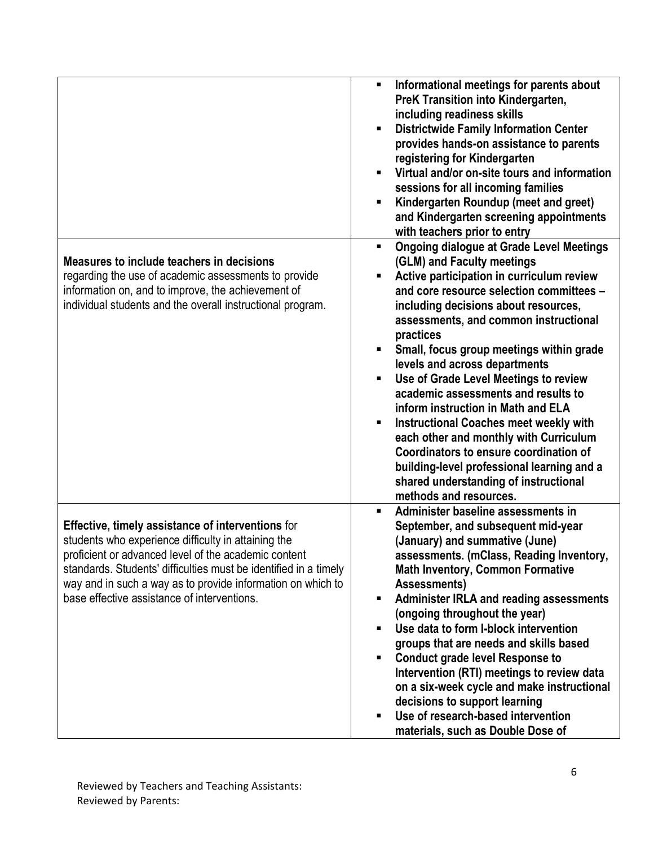|                                                                                                                                                                                                                                                                                                                                                           | Informational meetings for parents about<br>PreK Transition into Kindergarten,<br>including readiness skills<br><b>Districtwide Family Information Center</b><br>provides hands-on assistance to parents<br>registering for Kindergarten<br>Virtual and/or on-site tours and information<br>$\blacksquare$<br>sessions for all incoming families<br>Kindergarten Roundup (meet and greet)<br>and Kindergarten screening appointments<br>with teachers prior to entry                                                                                                                                                                                          |
|-----------------------------------------------------------------------------------------------------------------------------------------------------------------------------------------------------------------------------------------------------------------------------------------------------------------------------------------------------------|---------------------------------------------------------------------------------------------------------------------------------------------------------------------------------------------------------------------------------------------------------------------------------------------------------------------------------------------------------------------------------------------------------------------------------------------------------------------------------------------------------------------------------------------------------------------------------------------------------------------------------------------------------------|
| Measures to include teachers in decisions<br>regarding the use of academic assessments to provide<br>information on, and to improve, the achievement of<br>individual students and the overall instructional program.                                                                                                                                     | <b>Ongoing dialogue at Grade Level Meetings</b><br>٠<br>(GLM) and Faculty meetings<br>Active participation in curriculum review<br>П<br>and core resource selection committees -<br>including decisions about resources,<br>assessments, and common instructional<br>practices                                                                                                                                                                                                                                                                                                                                                                                |
|                                                                                                                                                                                                                                                                                                                                                           | Small, focus group meetings within grade<br>п<br>levels and across departments<br>Use of Grade Level Meetings to review<br>٠<br>academic assessments and results to<br>inform instruction in Math and ELA<br><b>Instructional Coaches meet weekly with</b><br>٠<br>each other and monthly with Curriculum<br>Coordinators to ensure coordination of<br>building-level professional learning and a<br>shared understanding of instructional<br>methods and resources.                                                                                                                                                                                          |
| <b>Effective, timely assistance of interventions for</b><br>students who experience difficulty in attaining the<br>proficient or advanced level of the academic content<br>standards. Students' difficulties must be identified in a timely<br>way and in such a way as to provide information on which to<br>base effective assistance of interventions. | Administer baseline assessments in<br>September, and subsequent mid-year<br>(January) and summative (June)<br>assessments. (mClass, Reading Inventory,<br><b>Math Inventory, Common Formative</b><br>Assessments)<br><b>Administer IRLA and reading assessments</b><br>ш<br>(ongoing throughout the year)<br>Use data to form I-block intervention<br>٠<br>groups that are needs and skills based<br><b>Conduct grade level Response to</b><br>П<br>Intervention (RTI) meetings to review data<br>on a six-week cycle and make instructional<br>decisions to support learning<br>Use of research-based intervention<br>П<br>materials, such as Double Dose of |